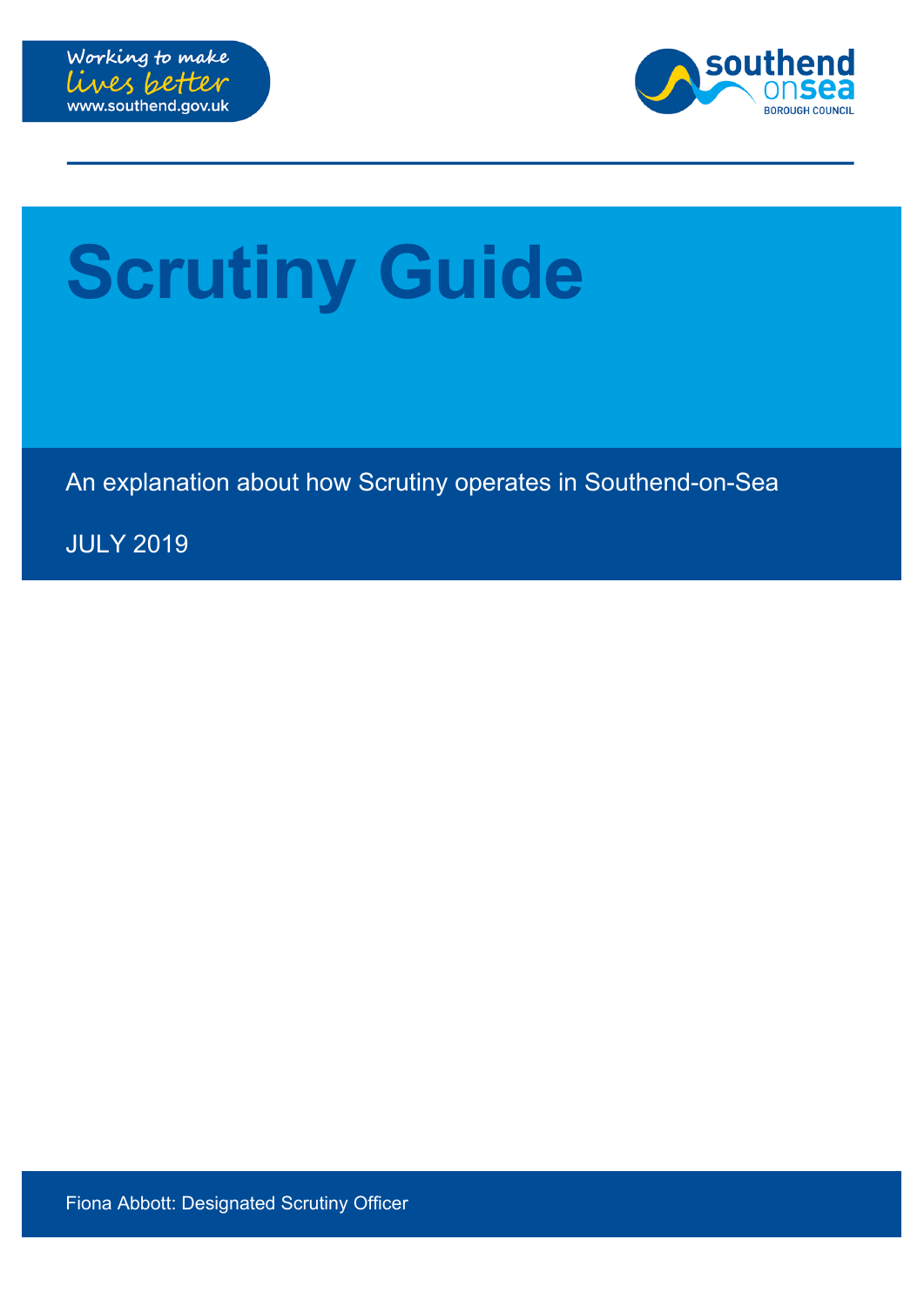



# **Scrutiny Guide**

An explanation about how Scrutiny operates in Southend-on-Sea

JULY 2019

Fiona Abbott: Designated Scrutiny Officer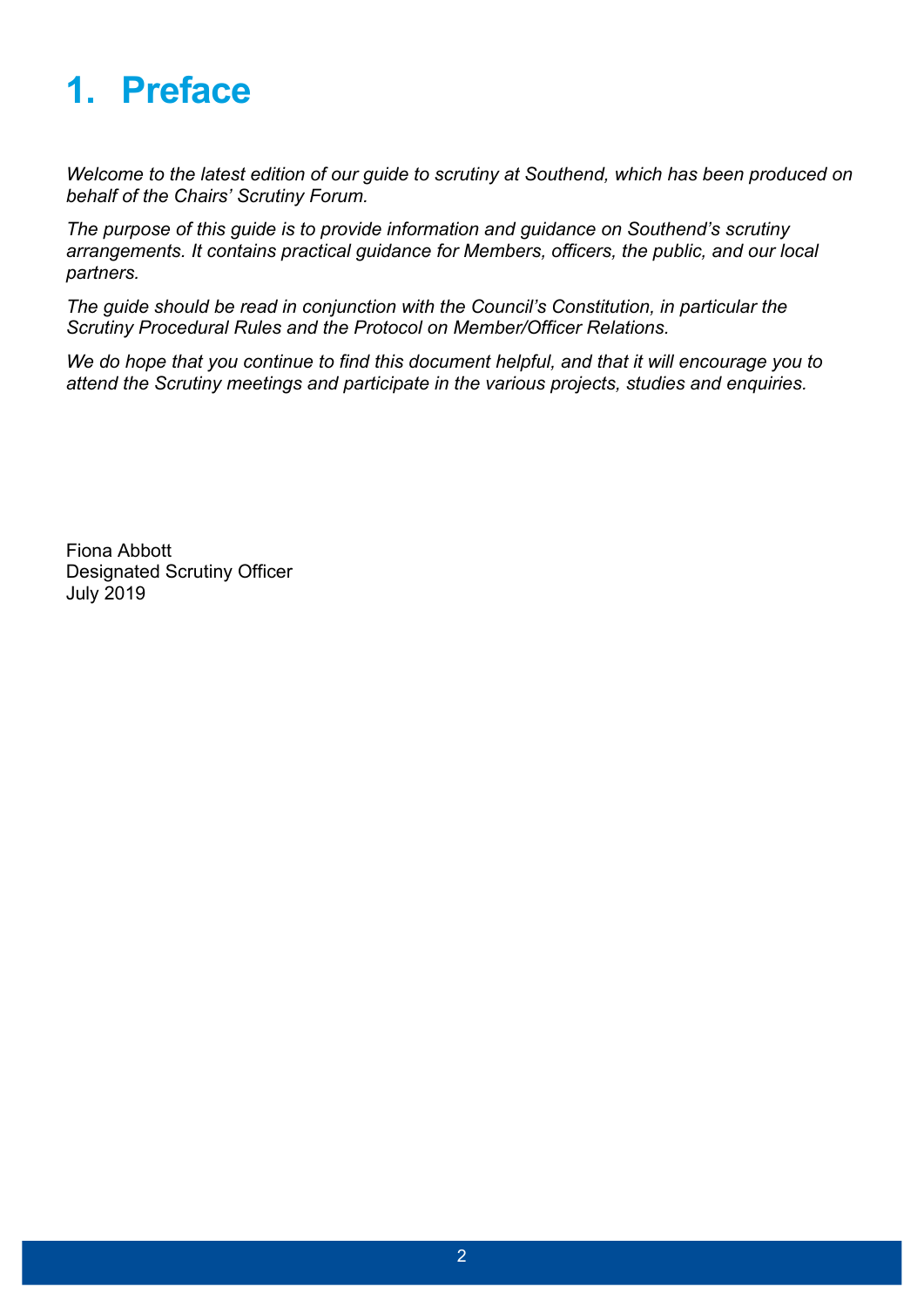# **1. Preface**

*Welcome to the latest edition of our guide to scrutiny at Southend, which has been produced on behalf of the Chairs' Scrutiny Forum.*

*The purpose of this guide is to provide information and guidance on Southend's scrutiny arrangements. It contains practical guidance for Members, officers, the public, and our local partners.*

*The guide should be read in conjunction with the Council's Constitution, in particular the Scrutiny Procedural Rules and the Protocol on Member/Officer Relations.*

*We do hope that you continue to find this document helpful, and that it will encourage you to attend the Scrutiny meetings and participate in the various projects, studies and enquiries.*

Fiona Abbott Designated Scrutiny Officer July 2019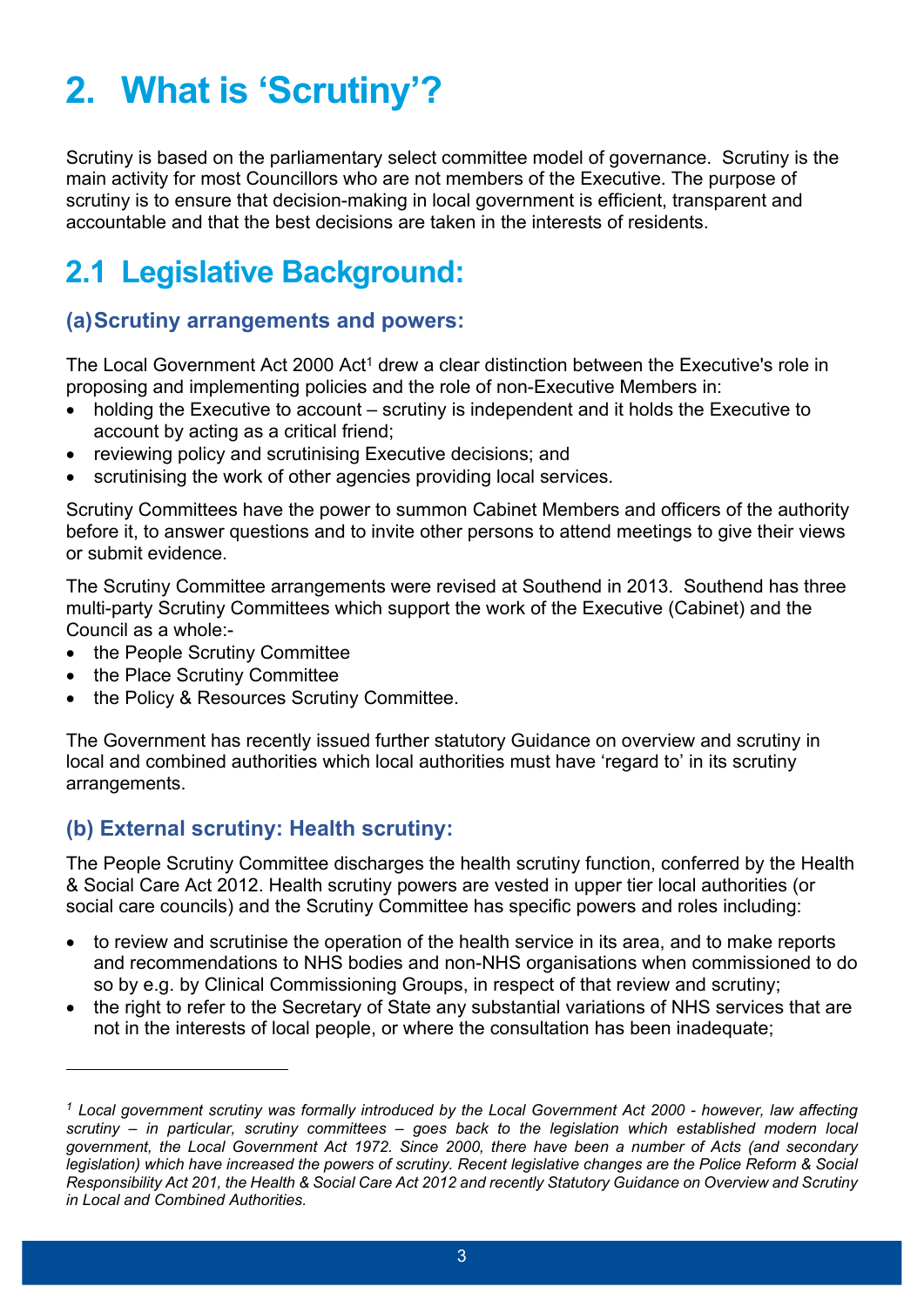# **2. What is 'Scrutiny'?**

Scrutiny is based on the parliamentary select committee model of governance. Scrutiny is the main activity for most Councillors who are not members of the Executive. The purpose of scrutiny is to ensure that decision-making in local government is efficient, transparent and accountable and that the best decisions are taken in the interests of residents.

### **2.1 Legislative Background:**

#### **(a)Scrutiny arrangements and powers:**

The Local Government Act 2000 Act<sup>1</sup> drew a clear distinction between the Executive's role in proposing and implementing policies and the role of non-Executive Members in:

- holding the Executive to account scrutiny is independent and it holds the Executive to account by acting as a critical friend;
- reviewing policy and scrutinising Executive decisions; and
- scrutinising the work of other agencies providing local services.

Scrutiny Committees have the power to summon Cabinet Members and officers of the authority before it, to answer questions and to invite other persons to attend meetings to give their views or submit evidence.

The Scrutiny Committee arrangements were revised at Southend in 2013. Southend has three multi-party Scrutiny Committees which support the work of the Executive (Cabinet) and the Council as a whole:-

- the People Scrutiny Committee
- the Place Scrutiny Committee
- the Policy & Resources Scrutiny Committee.

The Government has recently issued further statutory Guidance on overview and scrutiny in local and combined authorities which local authorities must have 'regard to' in its scrutiny arrangements.

#### **(b) External scrutiny: Health scrutiny:**

The People Scrutiny Committee discharges the health scrutiny function, conferred by the Health & Social Care Act 2012. Health scrutiny powers are vested in upper tier local authorities (or social care councils) and the Scrutiny Committee has specific powers and roles including:

- to review and scrutinise the operation of the health service in its area, and to make reports and recommendations to NHS bodies and non-NHS organisations when commissioned to do so by e.g. by Clinical Commissioning Groups, in respect of that review and scrutiny;
- the right to refer to the Secretary of State any substantial variations of NHS services that are not in the interests of local people, or where the consultation has been inadequate;

 $1$  Local government scrutiny was formally introduced by the Local Government Act 2000 - however, law affecting *scrutiny – in particular, scrutiny committees – goes back to the legislation which established modern local government, the Local Government Act 1972. Since 2000, there have been a number of Acts (and secondary* legislation) which have increased the powers of scrutiny. Recent legislative changes are the Police Reform & Social Responsibility Act 201, the Health & Social Care Act 2012 and recently Statutory Guidance on Overview and Scrutiny *in Local and Combined Authorities.*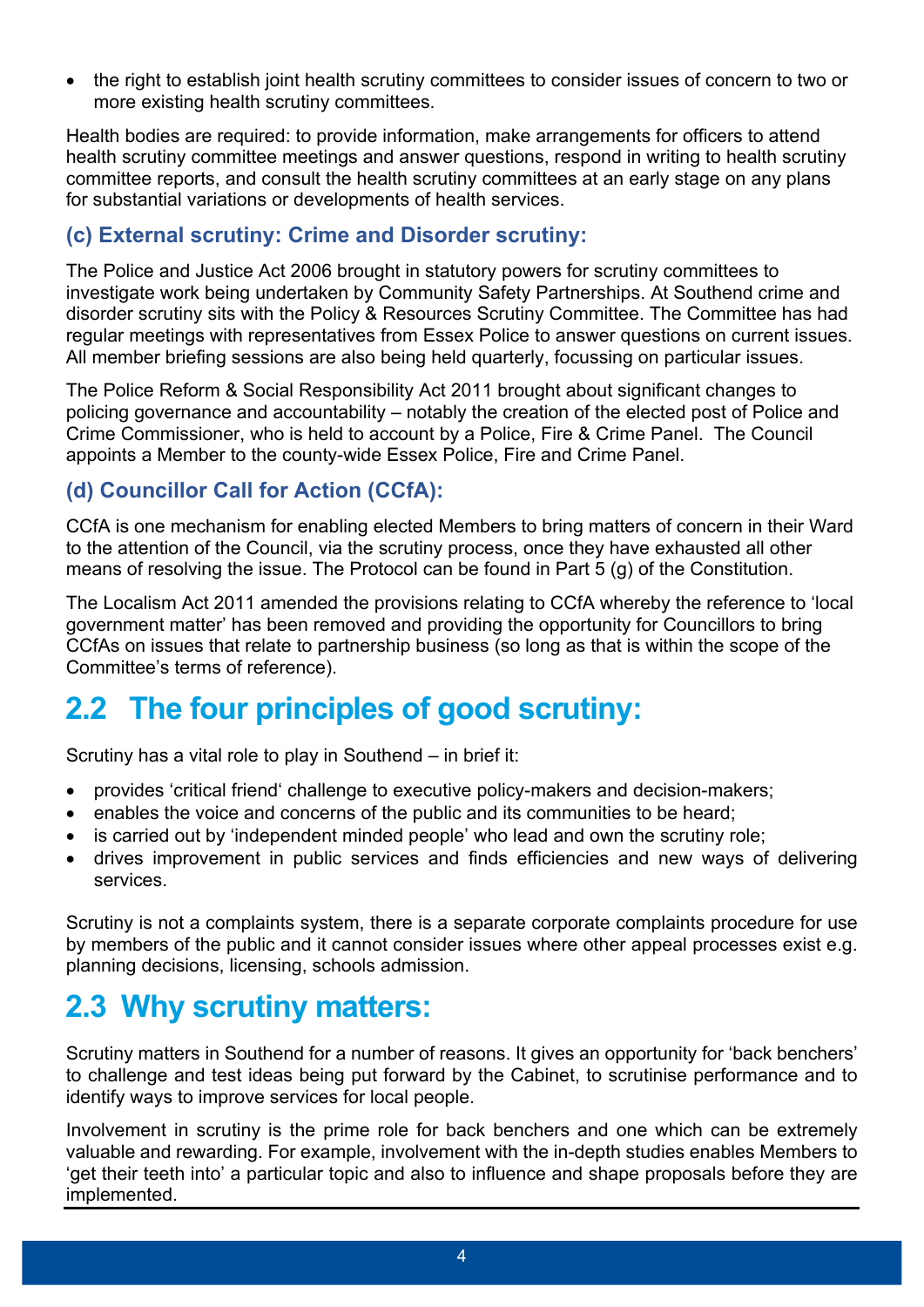the right to establish joint health scrutiny committees to consider issues of concern to two or more existing health scrutiny committees.

Health bodies are required: to provide information, make arrangements for officers to attend health scrutiny committee meetings and answer questions, respond in writing to health scrutiny committee reports, and consult the health scrutiny committees at an early stage on any plans for substantial variations or developments of health services.

#### **(c) External scrutiny: Crime and Disorder scrutiny:**

The Police and Justice Act 2006 brought in statutory powers for scrutiny committees to investigate work being undertaken by Community Safety Partnerships. At Southend crime and disorder scrutiny sits with the Policy & Resources Scrutiny Committee. The Committee has had regular meetings with representatives from Essex Police to answer questions on current issues. All member briefing sessions are also being held quarterly, focussing on particular issues.

The Police Reform & Social Responsibility Act 2011 brought about significant changes to policing governance and accountability – notably the creation of the elected post of Police and Crime Commissioner, who is held to account by a Police, Fire & Crime Panel. The Council appoints a Member to the county-wide Essex Police, Fire and Crime Panel.

#### **(d) Councillor Call for Action (CCfA):**

CCfA is one mechanism for enabling elected Members to bring matters of concern in their Ward to the attention of the Council, via the scrutiny process, once they have exhausted all other means of resolving the issue. The Protocol can be found in Part 5 (g) of the Constitution.

The Localism Act 2011 amended the provisions relating to CCfA whereby the reference to 'local government matter' has been removed and providing the opportunity for Councillors to bring CCfAs on issues that relate to partnership business (so long as that is within the scope of the Committee's terms of reference).

### **2.2 The four principles of good scrutiny:**

Scrutiny has a vital role to play in Southend – in brief it:

- provides 'critical friend' challenge to executive policy-makers and decision-makers;
- enables the voice and concerns of the public and its communities to be heard;
- is carried out by 'independent minded people' who lead and own the scrutiny role;
- drives improvement in public services and finds efficiencies and new ways of delivering services.

Scrutiny is not a complaints system, there is a separate corporate complaints procedure for use by members of the public and it cannot consider issues where other appeal processes exist e.g. planning decisions, licensing, schools admission.

### **2.3 Why scrutiny matters:**

Scrutiny matters in Southend for a number of reasons. It gives an opportunity for 'back benchers' to challenge and test ideas being put forward by the Cabinet, to scrutinise performance and to identify ways to improve services for local people.

Involvement in scrutiny is the prime role for back benchers and one which can be extremely valuable and rewarding. For example, involvement with the in-depth studies enables Members to 'get their teeth into' a particular topic and also to influence and shape proposals before they are implemented.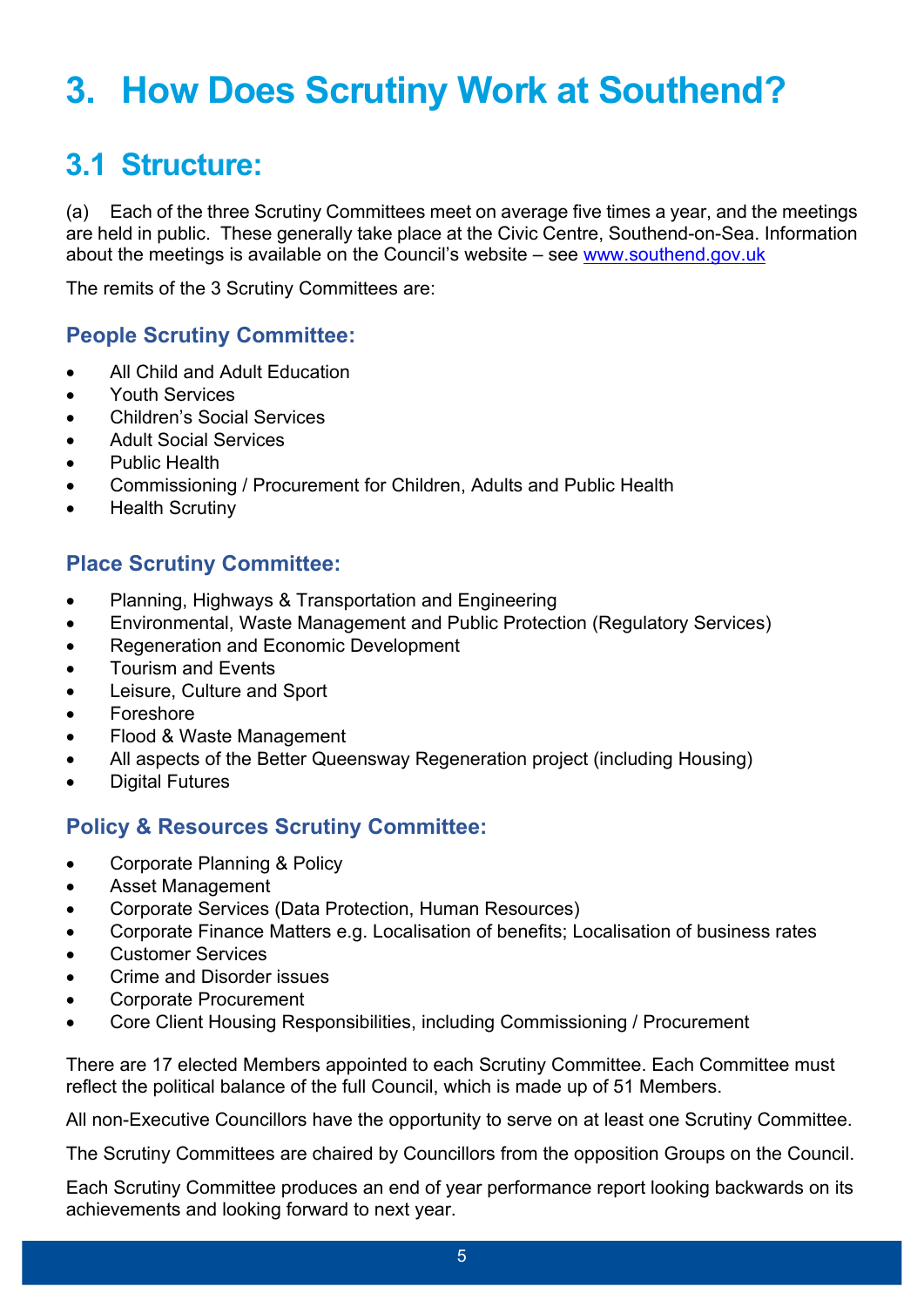# **3. How Does Scrutiny Work at Southend?**

### **3.1 Structure:**

(a) Each of the three Scrutiny Committees meet on average five times a year, and the meetings are held in public. These generally take place at the Civic Centre, Southend-on-Sea. Information about the meetings is available on the Council's website – see [www.southend.gov.uk](http://www.southend.gov.uk/)

The remits of the 3 Scrutiny Committees are:

#### **People Scrutiny Committee:**

- All Child and Adult Education
- Youth Services
- Children's Social Services
- Adult Social Services
- Public Health
- Commissioning / Procurement for Children, Adults and Public Health
- Health Scrutiny

#### **Place Scrutiny Committee:**

- Planning, Highways & Transportation and Engineering
- Environmental, Waste Management and Public Protection (Regulatory Services)
- Regeneration and Economic Development
- Tourism and Events
- Leisure, Culture and Sport
- Foreshore
- Flood & Waste Management
- All aspects of the Better Queensway Regeneration project (including Housing)
- Digital Futures

#### **Policy & Resources Scrutiny Committee:**

- Corporate Planning & Policy
- Asset Management
- Corporate Services (Data Protection, Human Resources)
- Corporate Finance Matters e.g. Localisation of benefits; Localisation of business rates
- **•** Customer Services
- Crime and Disorder issues
- Corporate Procurement
- Core Client Housing Responsibilities, including Commissioning / Procurement

There are 17 elected Members appointed to each Scrutiny Committee. Each Committee must reflect the political balance of the full Council, which is made up of 51 Members.

All non-Executive Councillors have the opportunity to serve on at least one Scrutiny Committee.

The Scrutiny Committees are chaired by Councillors from the opposition Groups on the Council.

Each Scrutiny Committee produces an end of year performance report looking backwards on its achievements and looking forward to next year.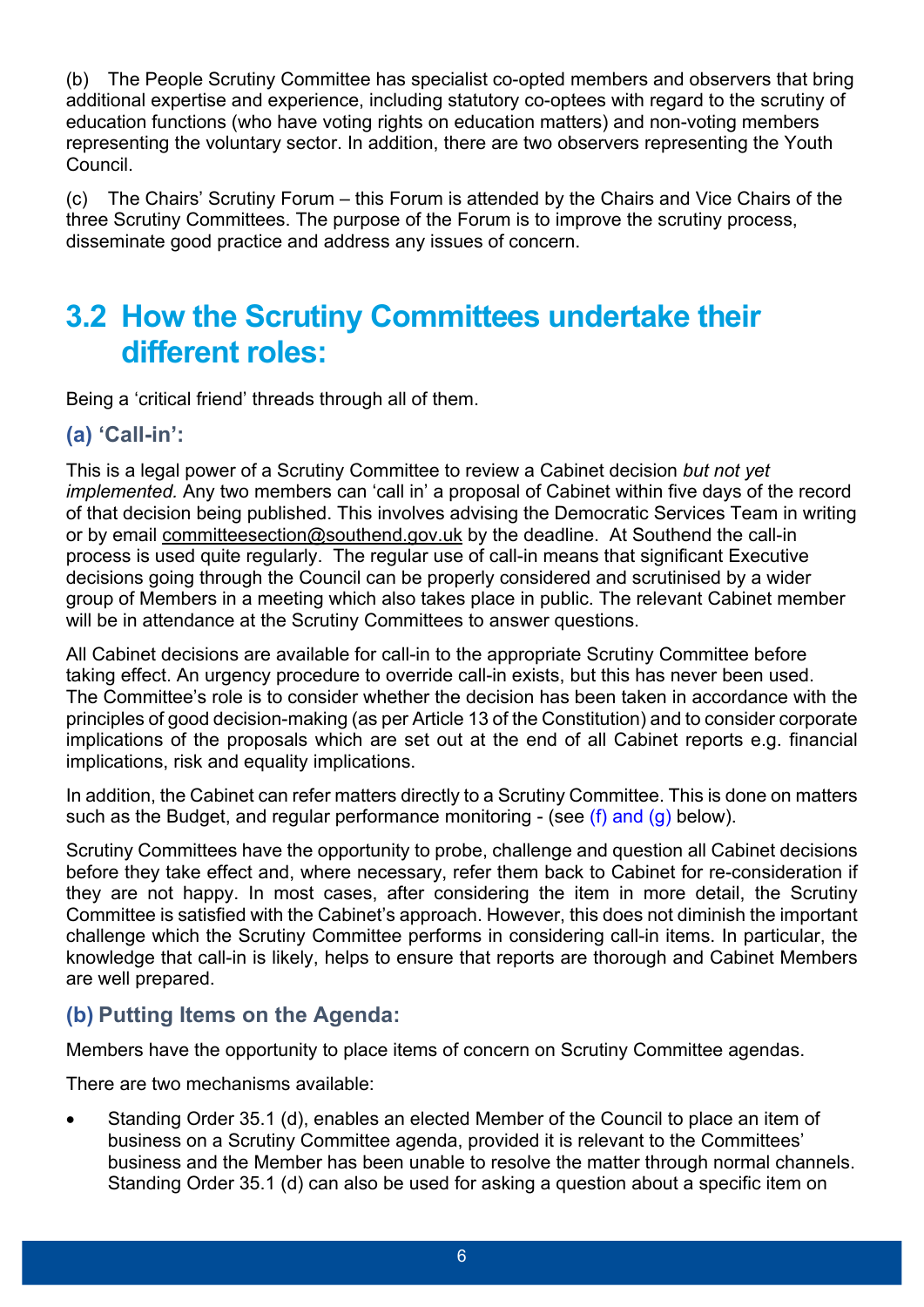(b) The People Scrutiny Committee has specialist co-opted members and observers that bring additional expertise and experience, including statutory co-optees with regard to the scrutiny of education functions (who have voting rights on education matters) and non-voting members representing the voluntary sector. In addition, there are two observers representing the Youth Council.

(c) The Chairs' Scrutiny Forum – this Forum is attended by the Chairs and Vice Chairs of the three Scrutiny Committees. The purpose of the Forum is to improve the scrutiny process, disseminate good practice and address any issues of concern.

### **3.2 How the Scrutiny Committees undertake their different roles:**

Being a 'critical friend' threads through all of them.

#### **(a) 'Call-in':**

This is a legal power of a Scrutiny Committee to review a Cabinet decision *but not yet implemented.* Any two members can 'call in' a proposal of Cabinet within five days of the record of that decision being published. This involves advising the Democratic Services Team in writing or by email [committeesection@southend.gov.uk](blocked::mailto:committeesection@southend.gov.uk) by the deadline. At Southend the call-in process is used quite regularly. The regular use of call-in means that significant Executive decisions going through the Council can be properly considered and scrutinised by a wider group of Members in a meeting which also takes place in public. The relevant Cabinet member will be in attendance at the Scrutiny Committees to answer questions.

All Cabinet decisions are available for call-in to the appropriate Scrutiny Committee before taking effect. An urgency procedure to override call-in exists, but this has never been used. The Committee's role is to consider whether the decision has been taken in accordance with the principles of good decision-making (as per Article 13 of the Constitution) and to consider corporate implications of the proposals which are set out at the end of all Cabinet reports e.g. financial implications, risk and equality implications.

In addition, the Cabinet can refer matters directly to a Scrutiny Committee. This is done on matters such as the Budget, and regular performance monitoring - (see (f) and (g) below).

Scrutiny Committees have the opportunity to probe, challenge and question all Cabinet decisions before they take effect and, where necessary, refer them back to Cabinet for re-consideration if they are not happy. In most cases, after considering the item in more detail, the Scrutiny Committee is satisfied with the Cabinet's approach. However, this does not diminish the important challenge which the Scrutiny Committee performs in considering call-in items. In particular, the knowledge that call-in is likely, helps to ensure that reports are thorough and Cabinet Members are well prepared.

#### **(b) Putting Items on the Agenda:**

Members have the opportunity to place items of concern on Scrutiny Committee agendas.

There are two mechanisms available:

 Standing Order 35.1 (d), enables an elected Member of the Council to place an item of business on a Scrutiny Committee agenda, provided it is relevant to the Committees' business and the Member has been unable to resolve the matter through normal channels. Standing Order 35.1 (d) can also be used for asking a question about a specific item on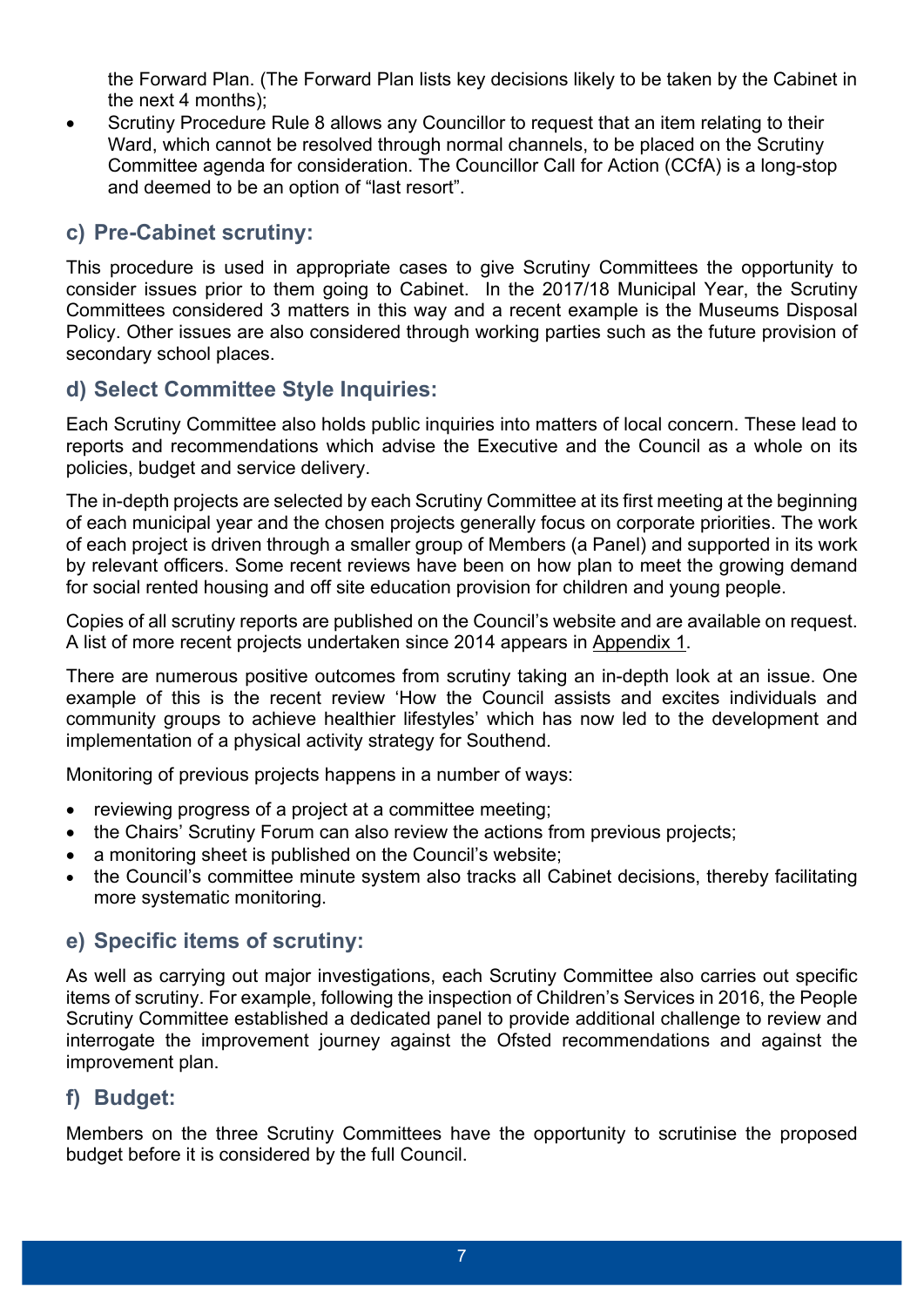the Forward Plan. (The Forward Plan lists key decisions likely to be taken by the Cabinet in the next 4 months);

 Scrutiny Procedure Rule 8 allows any Councillor to request that an item relating to their Ward, which cannot be resolved through normal channels, to be placed on the Scrutiny Committee agenda for consideration. The Councillor Call for Action (CCfA) is a long-stop and deemed to be an option of "last resort".

#### **c) Pre-Cabinet scrutiny:**

This procedure is used in appropriate cases to give Scrutiny Committees the opportunity to consider issues prior to them going to Cabinet. In the 2017/18 Municipal Year, the Scrutiny Committees considered 3 matters in this way and a recent example is the Museums Disposal Policy. Other issues are also considered through working parties such as the future provision of secondary school places.

#### **d) Select Committee Style Inquiries:**

Each Scrutiny Committee also holds public inquiries into matters of local concern. These lead to reports and recommendations which advise the Executive and the Council as a whole on its policies, budget and service delivery.

The in-depth projects are selected by each Scrutiny Committee at its first meeting at the beginning of each municipal year and the chosen projects generally focus on corporate priorities. The work of each project is driven through a smaller group of Members (a Panel) and supported in its work by relevant officers. Some recent reviews have been on how plan to meet the growing demand for social rented housing and off site education provision for children and young people.

Copies of all scrutiny reports are published on the Council's website and are available on request. A list of more recent projects undertaken since 2014 appears in Appendix 1.

There are numerous positive outcomes from scrutiny taking an in-depth look at an issue. One example of this is the recent review 'How the Council assists and excites individuals and community groups to achieve healthier lifestyles' which has now led to the development and implementation of a physical activity strategy for Southend.

Monitoring of previous projects happens in a number of ways:

- reviewing progress of a project at a committee meeting;
- the Chairs' Scrutiny Forum can also review the actions from previous projects;
- a monitoring sheet is published on the Council's website;
- the Council's committee minute system also tracks all Cabinet decisions, thereby facilitating more systematic monitoring.

#### **e) Specific items of scrutiny:**

As well as carrying out major investigations, each Scrutiny Committee also carries out specific items of scrutiny. For example, following the inspection of Children's Services in 2016, the People Scrutiny Committee established a dedicated panel to provide additional challenge to review and interrogate the improvement journey against the Ofsted recommendations and against the improvement plan.

#### **f) Budget:**

Members on the three Scrutiny Committees have the opportunity to scrutinise the proposed budget before it is considered by the full Council.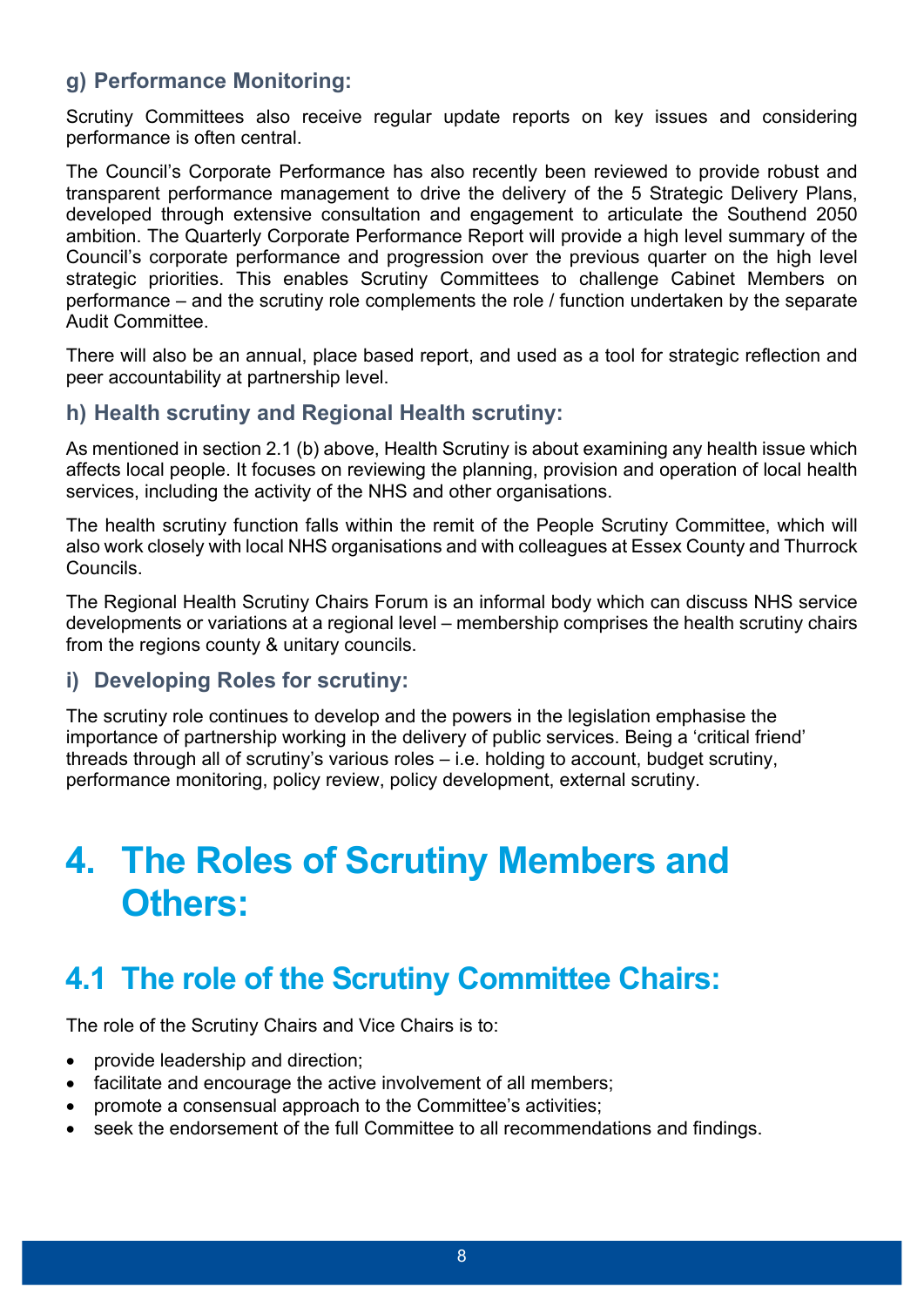#### **g) Performance Monitoring:**

Scrutiny Committees also receive regular update reports on key issues and considering performance is often central.

The Council's Corporate Performance has also recently been reviewed to provide robust and transparent performance management to drive the delivery of the 5 Strategic Delivery Plans, developed through extensive consultation and engagement to articulate the Southend 2050 ambition. The Quarterly Corporate Performance Report will provide a high level summary of the Council's corporate performance and progression over the previous quarter on the high level strategic priorities. This enables Scrutiny Committees to challenge Cabinet Members on performance – and the scrutiny role complements the role / function undertaken by the separate Audit Committee.

There will also be an annual, place based report, and used as a tool for strategic reflection and peer accountability at partnership level.

#### **h) Health scrutiny and Regional Health scrutiny:**

As mentioned in section 2.1 (b) above, Health Scrutiny is about examining any health issue which affects local people. It focuses on reviewing the planning, provision and operation of local health services, including the activity of the NHS and other organisations.

The health scrutiny function falls within the remit of the People Scrutiny Committee, which will also work closely with local NHS organisations and with colleagues at Essex County and Thurrock Councils.

The Regional Health Scrutiny Chairs Forum is an informal body which can discuss NHS service developments or variations at a regional level – membership comprises the health scrutiny chairs from the regions county & unitary councils.

#### **i) Developing Roles for scrutiny:**

The scrutiny role continues to develop and the powers in the legislation emphasise the importance of partnership working in the delivery of public services. Being a 'critical friend' threads through all of scrutiny's various roles – i.e. holding to account, budget scrutiny, performance monitoring, policy review, policy development, external scrutiny.

## **4. The Roles of Scrutiny Members and Others:**

### **4.1 The role of the Scrutiny Committee Chairs:**

The role of the Scrutiny Chairs and Vice Chairs is to:

- provide leadership and direction;
- facilitate and encourage the active involvement of all members;
- promote a consensual approach to the Committee's activities;
- seek the endorsement of the full Committee to all recommendations and findings.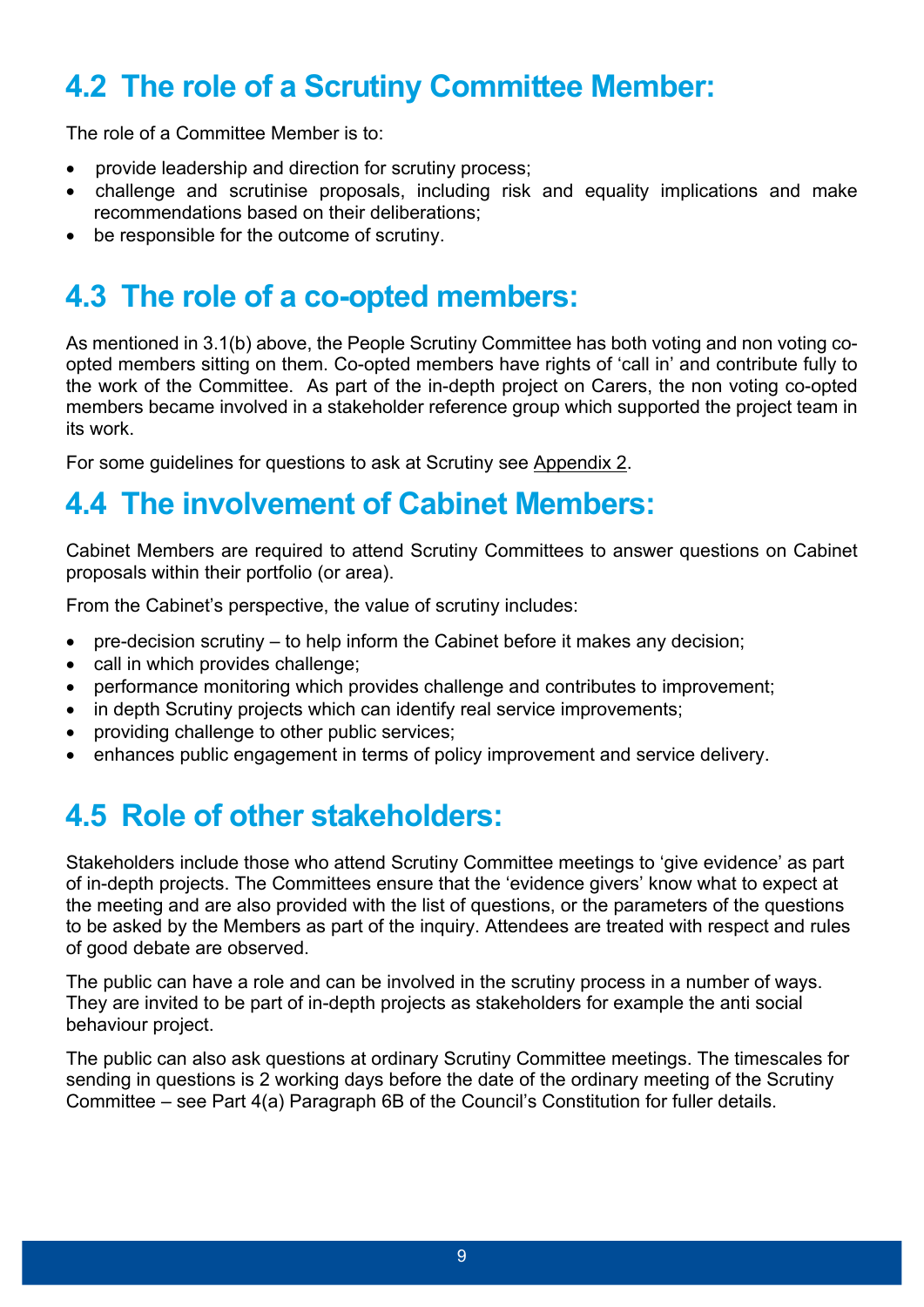### **4.2 The role of a Scrutiny Committee Member:**

The role of a Committee Member is to:

- provide leadership and direction for scrutiny process:
- challenge and scrutinise proposals, including risk and equality implications and make recommendations based on their deliberations;
- be responsible for the outcome of scrutiny.

### **4.3 The role of a co-opted members:**

As mentioned in 3.1(b) above, the People Scrutiny Committee has both voting and non voting coopted members sitting on them. Co-opted members have rights of 'call in' and contribute fully to the work of the Committee. As part of the in-depth project on Carers, the non voting co-opted members became involved in a stakeholder reference group which supported the project team in its work.

For some guidelines for questions to ask at Scrutiny see Appendix 2.

### **4.4 The involvement of Cabinet Members:**

Cabinet Members are required to attend Scrutiny Committees to answer questions on Cabinet proposals within their portfolio (or area).

From the Cabinet's perspective, the value of scrutiny includes:

- pre-decision scrutiny to help inform the Cabinet before it makes any decision;
- call in which provides challenge;
- performance monitoring which provides challenge and contributes to improvement;
- in depth Scrutiny projects which can identify real service improvements;
- providing challenge to other public services:
- enhances public engagement in terms of policy improvement and service delivery.

### **4.5 Role of other stakeholders:**

Stakeholders include those who attend Scrutiny Committee meetings to 'give evidence' as part of in-depth projects. The Committees ensure that the 'evidence givers' know what to expect at the meeting and are also provided with the list of questions, or the parameters of the questions to be asked by the Members as part of the inquiry. Attendees are treated with respect and rules of good debate are observed.

The public can have a role and can be involved in the scrutiny process in a number of ways. They are invited to be part of in-depth projects as stakeholders for example the anti social behaviour project.

The public can also ask questions at ordinary Scrutiny Committee meetings. The timescales for sending in questions is 2 working days before the date of the ordinary meeting of the Scrutiny Committee – see Part 4(a) Paragraph 6B of the Council's Constitution for fuller details.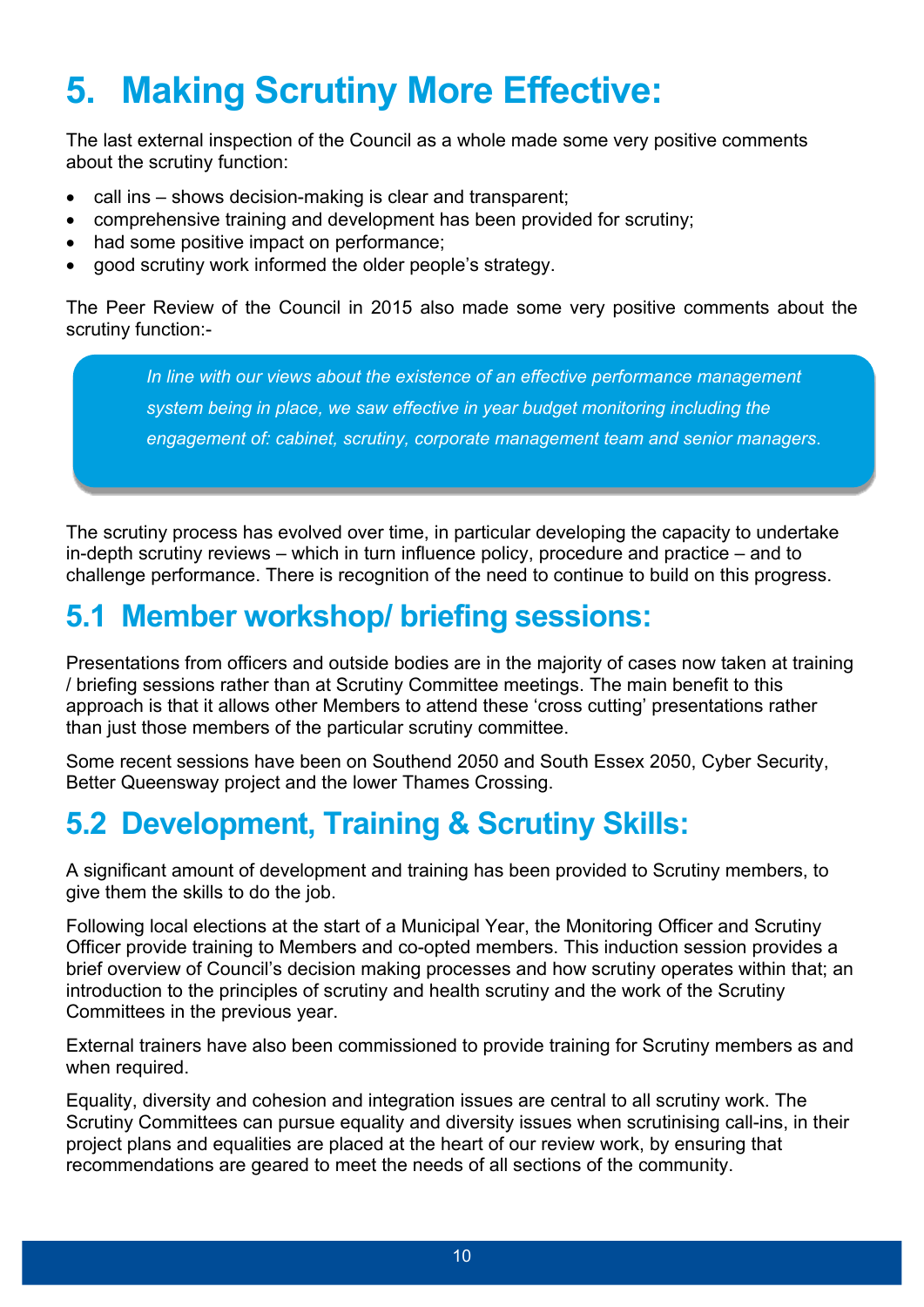# **5. Making Scrutiny More Effective:**

The last external inspection of the Council as a whole made some very positive comments about the scrutiny function:

- call ins shows decision-making is clear and transparent;
- comprehensive training and development has been provided for scrutiny;
- had some positive impact on performance;
- good scrutiny work informed the older people's strategy.

The Peer Review of the Council in 2015 also made some very positive comments about the scrutiny function:-

> *In line with our views about the existence of an effective performance management system being in place, we saw effective in year budget monitoring including the engagement of: cabinet, scrutiny, corporate management team and senior managers*.

The scrutiny process has evolved over time, in particular developing the capacity to undertake in-depth scrutiny reviews – which in turn influence policy, procedure and practice – and to challenge performance. There is recognition of the need to continue to build on this progress.

### **5.1 Member workshop/ briefing sessions:**

Presentations from officers and outside bodies are in the majority of cases now taken at training / briefing sessions rather than at Scrutiny Committee meetings. The main benefit to this approach is that it allows other Members to attend these 'cross cutting' presentations rather than just those members of the particular scrutiny committee.

Some recent sessions have been on Southend 2050 and South Essex 2050, Cyber Security, Better Queensway project and the lower Thames Crossing.

### **5.2 Development, Training & Scrutiny Skills:**

A significant amount of development and training has been provided to Scrutiny members, to give them the skills to do the job.

Following local elections at the start of a Municipal Year, the Monitoring Officer and Scrutiny Officer provide training to Members and co-opted members. This induction session provides a brief overview of Council's decision making processes and how scrutiny operates within that; an introduction to the principles of scrutiny and health scrutiny and the work of the Scrutiny Committees in the previous year.

External trainers have also been commissioned to provide training for Scrutiny members as and when required.

Equality, diversity and cohesion and integration issues are central to all scrutiny work. The Scrutiny Committees can pursue equality and diversity issues when scrutinising call-ins, in their project plans and equalities are placed at the heart of our review work, by ensuring that recommendations are geared to meet the needs of all sections of the community.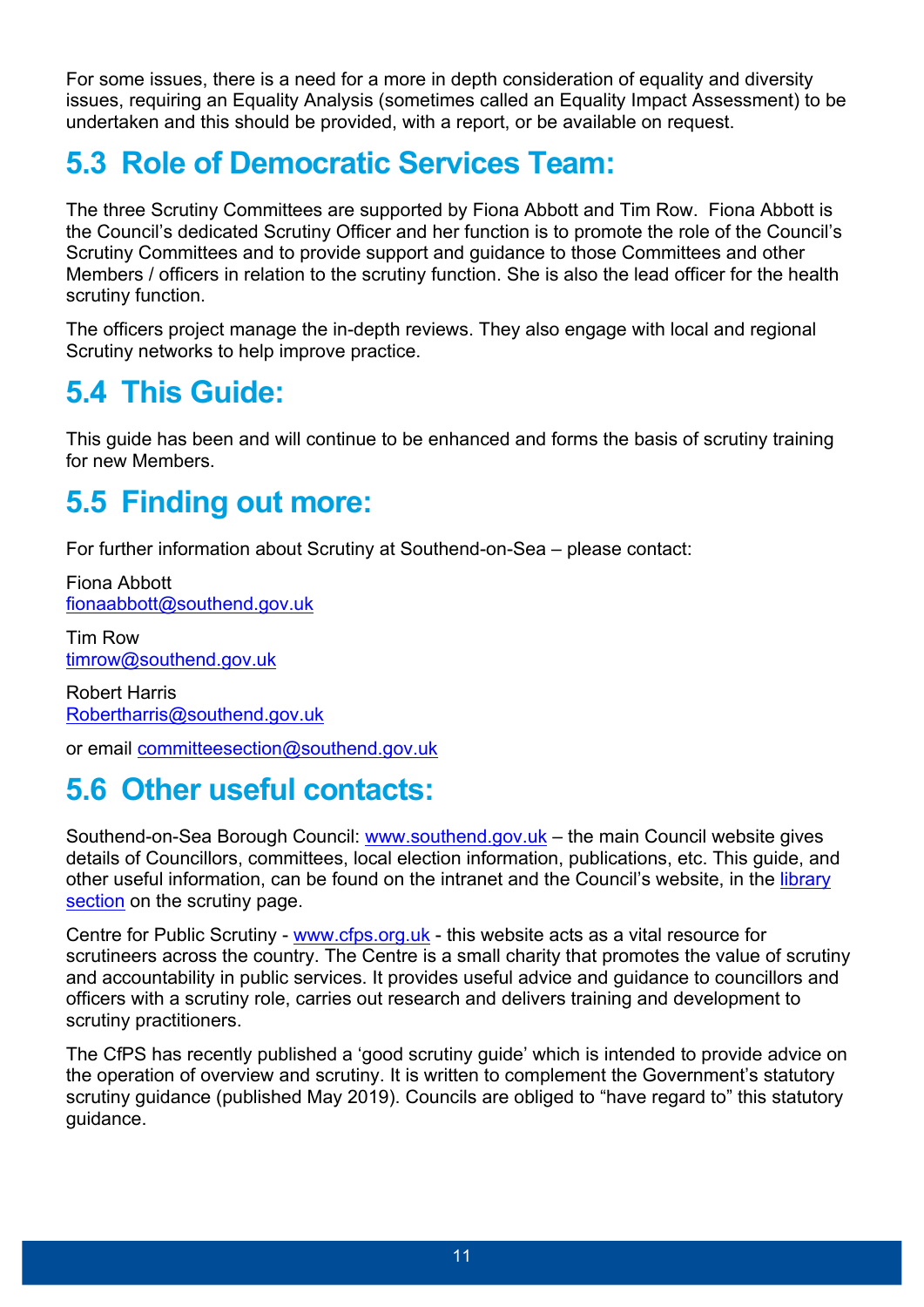For some issues, there is a need for a more in depth consideration of equality and diversity issues, requiring an Equality Analysis (sometimes called an Equality Impact Assessment) to be undertaken and this should be provided, with a report, or be available on request.

### **5.3 Role of Democratic Services Team:**

The three Scrutiny Committees are supported by Fiona Abbott and Tim Row. Fiona Abbott is the Council's dedicated Scrutiny Officer and her function is to promote the role of the Council's Scrutiny Committees and to provide support and guidance to those Committees and other Members / officers in relation to the scrutiny function. She is also the lead officer for the health scrutiny function.

The officers project manage the in-depth reviews. They also engage with local and regional Scrutiny networks to help improve practice.

### **5.4 This Guide:**

This guide has been and will continue to be enhanced and forms the basis of scrutiny training for new Members.

### **5.5 Finding out more:**

For further information about Scrutiny at Southend-on-Sea – please contact:

Fiona Abbott [fionaabbott@southend.gov.uk](mailto:fionaabbott@southend.gov.uk)

Tim Row [timrow@southend.gov.uk](mailto:timrow@southend.gov.uk)

Robert Harris [Robertharris@southend.gov.uk](mailto:Robertharris@southend.gov.uk)

or email [committeesection@southend.gov.uk](mailto:committeesection@southend.gov.uk)

### **5.6 Other useful contacts:**

Southend-on-Sea Borough Council: [www.southend.gov.uk](http://www.southend.gov.uk/) – the main Council website gives details of Councillors, committees, local election information, publications, etc. This guide, and other useful information, can be found on the intranet and the Council's website, in the [library](https://democracy.southend.gov.uk/mgGeneric.aspx?MD=mgscrutiny) [section](https://democracy.southend.gov.uk/mgGeneric.aspx?MD=mgscrutiny) on the scrutiny page.

Centre for Public Scrutiny - [www.cfps.org.uk](http://www.cfps.org.uk/) - this website acts as a vital resource for scrutineers across the country. The Centre is a small charity that promotes the value of scrutiny and accountability in public services. It provides useful advice and guidance to councillors and officers with a scrutiny role, carries out research and delivers training and development to scrutiny practitioners.

The CfPS has recently published a 'good scrutiny guide' which is intended to provide advice on the operation of overview and scrutiny. It is written to complement the Government's statutory scrutiny guidance (published May 2019). Councils are obliged to "have regard to" this statutory guidance.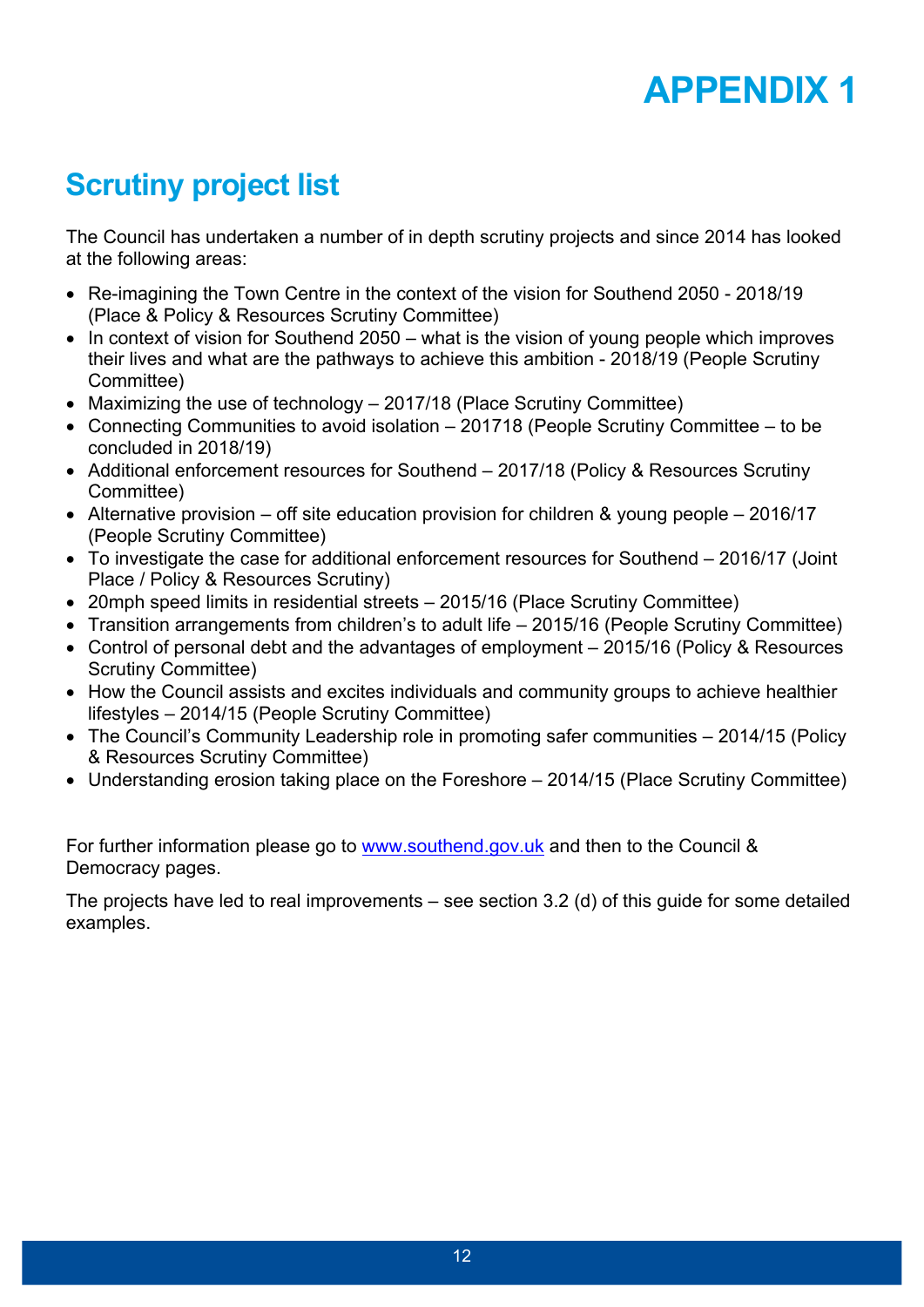# **APPENDIX 1**

### **Scrutiny project list**

The Council has undertaken a number of in depth scrutiny projects and since 2014 has looked at the following areas:

- Re-imagining the Town Centre in the context of the vision for Southend 2050 2018/19 (Place & Policy & Resources Scrutiny Committee)
- $\bullet$  In context of vision for Southend 2050 what is the vision of young people which improves their lives and what are the pathways to achieve this ambition - 2018/19 (People Scrutiny Committee)
- Maximizing the use of technology 2017/18 (Place Scrutiny Committee)
- Connecting Communities to avoid isolation 201718 (People Scrutiny Committee to be concluded in 2018/19)
- Additional enforcement resources for Southend 2017/18 (Policy & Resources Scrutiny Committee)
- Alternative provision off site education provision for children & young people 2016/17 (People Scrutiny Committee)
- To investigate the case for additional enforcement resources for Southend 2016/17 (Joint Place / Policy & Resources Scrutiny)
- 20mph speed limits in residential streets 2015/16 (Place Scrutiny Committee)
- Transition arrangements from children's to adult life 2015/16 (People Scrutiny Committee)
- Control of personal debt and the advantages of employment 2015/16 (Policy & Resources Scrutiny Committee)
- How the Council assists and excites individuals and community groups to achieve healthier lifestyles – 2014/15 (People Scrutiny Committee)
- The Council's Community Leadership role in promoting safer communities 2014/15 (Policy & Resources Scrutiny Committee)
- Understanding erosion taking place on the Foreshore 2014/15 (Place Scrutiny Committee)

For further information please go to [www.southend.gov.uk](http://www.southend.gov.uk/) and then to the Council & Democracy pages.

The projects have led to real improvements – see section 3.2 (d) of this guide for some detailed examples.